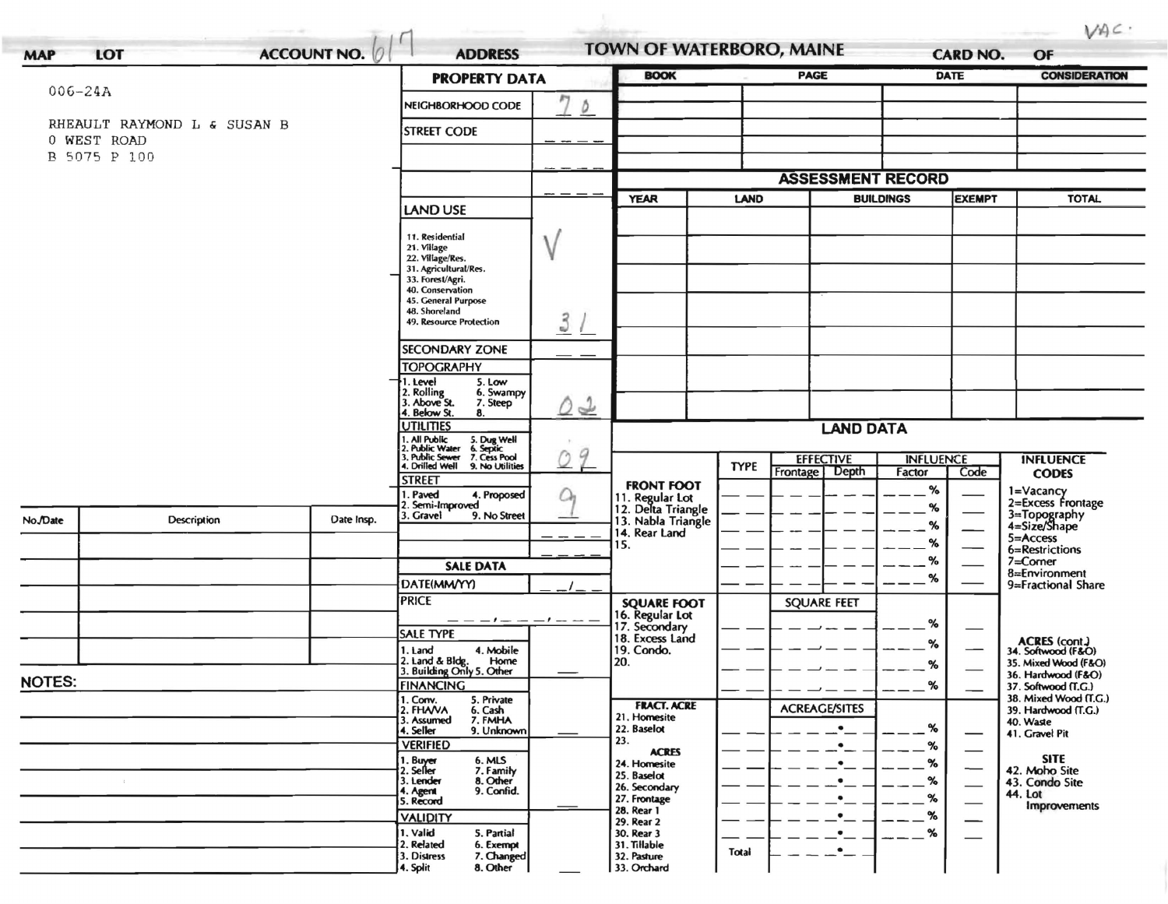| <b>ACCOUNT NO.</b><br>LOT<br><b>MAP</b> |                             | <b>ADDRESS</b>                                                                                                            |                                                                                                 | <b>TOWN OF WATERBORO, MAINE</b>                                 |                                                             |                  | <b>CARD NO.</b>        |        | OF                              |                                              |
|-----------------------------------------|-----------------------------|---------------------------------------------------------------------------------------------------------------------------|-------------------------------------------------------------------------------------------------|-----------------------------------------------------------------|-------------------------------------------------------------|------------------|------------------------|--------|---------------------------------|----------------------------------------------|
| $006 - 24A$                             |                             | <b>PROPERTY DATA</b>                                                                                                      |                                                                                                 | <b>BOOK</b>                                                     |                                                             | <b>PAGE</b>      |                        | DATE   | <b>CONSIDERATION</b>            |                                              |
|                                         |                             |                                                                                                                           | NEIGHBORHOOD CODE                                                                               | ΡJ<br>Ď                                                         |                                                             |                  |                        |        |                                 |                                              |
|                                         | RHEAULT RAYMOND L & SUSAN B | <b>STREET CODE</b>                                                                                                        |                                                                                                 |                                                                 |                                                             |                  |                        |        |                                 |                                              |
|                                         | 0 WEST ROAD<br>B 5075 P 100 |                                                                                                                           |                                                                                                 |                                                                 |                                                             |                  |                        |        |                                 |                                              |
|                                         |                             |                                                                                                                           | <b>ASSESSMENT RECORD</b>                                                                        |                                                                 |                                                             |                  |                        |        |                                 |                                              |
|                                         |                             |                                                                                                                           |                                                                                                 | <b>BUILDINGS</b><br><b>EXEMPT</b><br><b>YEAR</b><br><b>LAND</b> |                                                             |                  |                        |        | <b>TOTAL</b>                    |                                              |
|                                         |                             |                                                                                                                           | <b>LAND USE</b>                                                                                 |                                                                 |                                                             |                  |                        |        |                                 |                                              |
|                                         |                             |                                                                                                                           | 11. Residential<br>21. Village<br>22. Village/Res.<br>31. Agricultural/Res.<br>33. Forest/Agri. |                                                                 |                                                             |                  |                        |        |                                 |                                              |
|                                         |                             |                                                                                                                           |                                                                                                 |                                                                 |                                                             |                  |                        |        |                                 |                                              |
|                                         |                             |                                                                                                                           |                                                                                                 |                                                                 |                                                             |                  |                        |        |                                 |                                              |
|                                         |                             |                                                                                                                           | 40. Conservation<br>45. General Purpose                                                         |                                                                 |                                                             |                  |                        |        |                                 |                                              |
|                                         |                             |                                                                                                                           | 48. Shoreland<br>49. Resource Protection                                                        |                                                                 |                                                             |                  |                        |        |                                 |                                              |
|                                         |                             |                                                                                                                           |                                                                                                 | $\mathbf{3}$                                                    |                                                             |                  |                        |        |                                 |                                              |
|                                         |                             |                                                                                                                           | <b>SECONDARY ZONE</b>                                                                           |                                                                 |                                                             |                  |                        |        |                                 |                                              |
|                                         |                             |                                                                                                                           | <b>TOPOGRAPHY</b><br>1. Level<br>5. Low                                                         |                                                                 |                                                             |                  |                        |        |                                 |                                              |
|                                         |                             |                                                                                                                           | 2. Rolling<br>3. Above St.<br>6. Swampy<br>7. Steep                                             |                                                                 |                                                             |                  |                        |        |                                 |                                              |
|                                         |                             |                                                                                                                           | 4. Below St.<br>8.                                                                              | $\rightarrow$<br>Ω                                              |                                                             |                  |                        |        |                                 |                                              |
|                                         |                             |                                                                                                                           | <b>UTILITIES</b>                                                                                |                                                                 | <b>LAND DATA</b>                                            |                  |                        |        |                                 |                                              |
|                                         |                             | 1. All Public 5. Dug Well<br>2. Public Water 6. Septic<br>3. Public Sewer 7. Cess Pool<br>4. Drilled Well 9. No Utilities | 9                                                                                               |                                                                 |                                                             | <b>EFFECTIVE</b> | <b>INFLUENCE</b>       |        | <b>INFLUENCE</b>                |                                              |
|                                         |                             |                                                                                                                           | <b>STREET</b>                                                                                   |                                                                 |                                                             | <b>TYPE</b>      | Frontage Depth         | Factor | Code                            | <b>CODES</b>                                 |
|                                         |                             |                                                                                                                           | . Paved<br>4. Proposed                                                                          | Ch                                                              | <b>FRONT FOOT</b>                                           |                  |                        | %      |                                 | 1=Vacancy<br>2=Excess Frontage               |
| No./Date                                | Description                 | Date Insp.                                                                                                                | 2. Semi-Improved<br>3. Gravel<br>9. No Street                                                   |                                                                 | 11. Regular Lot<br>12. Delta Triangle<br>13. Nabla Triangle |                  |                        | %      |                                 | 3=Topography<br>4=Size/Shape                 |
|                                         |                             |                                                                                                                           |                                                                                                 |                                                                 | 14. Rear Land                                               |                  |                        | %<br>% |                                 | 5=Access                                     |
|                                         |                             |                                                                                                                           |                                                                                                 |                                                                 | 15.                                                         |                  |                        | %      |                                 | 6=Restrictions<br>$7 =$ Corner               |
|                                         |                             |                                                                                                                           | <b>SALE DATA</b>                                                                                |                                                                 |                                                             |                  |                        | %      |                                 | 8=Environment                                |
|                                         |                             |                                                                                                                           | DATE(MM/YY)<br><b>PRICE</b>                                                                     |                                                                 |                                                             |                  |                        |        |                                 | 9=Fractional Share                           |
|                                         |                             |                                                                                                                           | _ _ _ / _ _ _ / _ _                                                                             |                                                                 | <b>SQUARE FOOT</b>                                          |                  | <b>SQUARE FEET</b>     |        |                                 |                                              |
|                                         |                             |                                                                                                                           | <b>SALE TYPE</b>                                                                                |                                                                 | 16. Regular Lot<br>17. Secondary<br>18. Excess Land         |                  |                        | %      |                                 |                                              |
|                                         |                             |                                                                                                                           | 4. Mobile<br>1. Land                                                                            |                                                                 | 19. Condo.                                                  |                  |                        | ℅      |                                 | ACRES (cont.)<br>34. Softwood (F&O)          |
|                                         |                             |                                                                                                                           | 2. Land & Bldg. Home<br>3. Building Only 5. Other<br>Home                                       |                                                                 | 20.                                                         |                  |                        | %      |                                 | 35. Mixed Wood (F&O)<br>36. Hardwood (F&O)   |
| <b>NOTES:</b>                           |                             |                                                                                                                           | <b>FINANCING</b><br>1. Conv.<br>5. Private                                                      |                                                                 |                                                             |                  |                        | ℅      |                                 | 37. Softwood (T.G.)<br>38. Mixed Wood (T.G.) |
|                                         |                             |                                                                                                                           | 2. FHAVA<br>6. Cash                                                                             |                                                                 | <b>FRACT. ACRE</b><br>21. Homesite                          |                  | <b>ACREAGE/SITES</b>   |        |                                 | 39. Hardwood (T.G.)                          |
|                                         |                             |                                                                                                                           | 3. Assumed<br>7. FMHA<br>4. Seller<br>9. Unknown                                                |                                                                 | 22. Baselot                                                 |                  | $\bullet$              | %      |                                 | 40. Waste<br>41. Gravel Pit                  |
|                                         |                             |                                                                                                                           | <b>VERIFIED</b>                                                                                 |                                                                 | 23.<br><b>ACRES</b>                                         |                  | $\bullet$              | $\%$   | $\overline{\phantom{0}}$        | <b>SITE</b>                                  |
|                                         |                             |                                                                                                                           | 1. Buyer<br>2. Seller<br>6. MLS<br>7. Family                                                    |                                                                 | 24. Homesite<br>25. Baselot                                 |                  | $\bullet$              | $\%$   | $\overbrace{\hspace{25mm}}^{ }$ | 42. Moho Site                                |
|                                         |                             |                                                                                                                           | 8. Other<br>3. Lender<br>9. Confid.<br>4. Agent<br>5. Record                                    |                                                                 | 26. Secondary                                               |                  | $\bullet$<br>$\bullet$ | %<br>% |                                 | 43. Condo Site<br>44. Lot                    |
|                                         |                             |                                                                                                                           | <b>VALIDITY</b>                                                                                 |                                                                 | 27. Frontage<br>28. Rear 1                                  |                  |                        | %      | $\overbrace{\phantom{aaaaa}}$   | Improvements                                 |
|                                         |                             |                                                                                                                           | 1. Valid<br>5. Partial                                                                          |                                                                 | 29. Rear 2<br>30. Rear 3                                    |                  |                        | %      | —                               |                                              |
|                                         |                             |                                                                                                                           | 2. Related<br>6. Exempt                                                                         |                                                                 | 31. Tillable                                                | Total            | $\bullet$              |        |                                 |                                              |
|                                         |                             |                                                                                                                           | 3. Distress<br>7. Changed<br>8. Other                                                           |                                                                 | 32. Pasture<br>33. Orchard                                  |                  |                        |        |                                 |                                              |